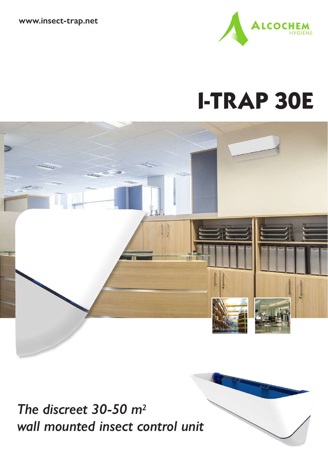**www.insect-trap.net**



# **I-TRAP 30E**



*The discreet 30-50 m2 wall mounted insect control unit*